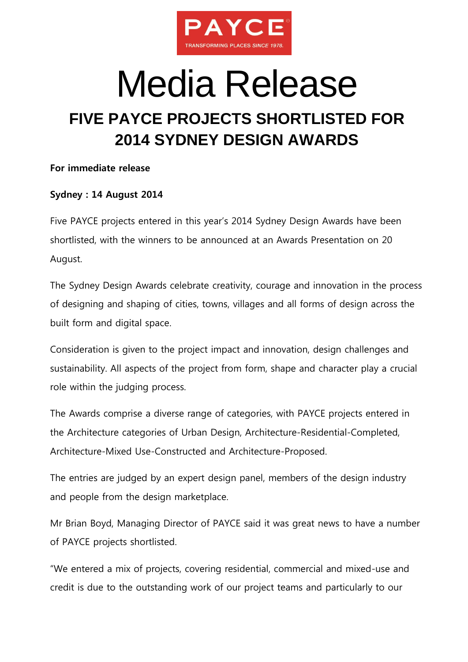

## Media Release **FIVE PAYCE PROJECTS SHORTLISTED FOR 2014 SYDNEY DESIGN AWARDS**

## **For immediate release**

## **Sydney : 14 August 2014**

Five PAYCE projects entered in this year's 2014 Sydney Design Awards have been shortlisted, with the winners to be announced at an Awards Presentation on 20 August.

The Sydney Design Awards celebrate creativity, courage and innovation in the process of designing and shaping of cities, towns, villages and all forms of design across the built form and digital space.

Consideration is given to the project impact and innovation, design challenges and sustainability. All aspects of the project from form, shape and character play a crucial role within the judging process.

The Awards comprise a diverse range of categories, with PAYCE projects entered in the Architecture categories of Urban Design, Architecture-Residential-Completed, Architecture-Mixed Use-Constructed and Architecture-Proposed.

The entries are judged by an expert design panel, members of the design industry and people from the design marketplace.

Mr Brian Boyd, Managing Director of PAYCE said it was great news to have a number of PAYCE projects shortlisted.

"We entered a mix of projects, covering residential, commercial and mixed-use and credit is due to the outstanding work of our project teams and particularly to our